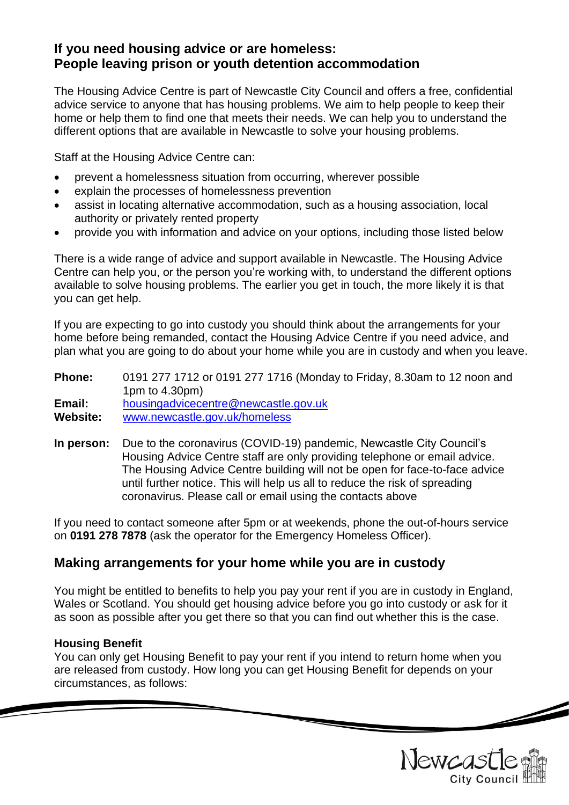# **If you need housing advice or are homeless: People leaving prison or youth detention accommodation**

The Housing Advice Centre is part of Newcastle City Council and offers a free, confidential advice service to anyone that has housing problems. We aim to help people to keep their home or help them to find one that meets their needs. We can help you to understand the different options that are available in Newcastle to solve your housing problems.

Staff at the Housing Advice Centre can:

- prevent a homelessness situation from occurring, wherever possible
- explain the processes of homelessness prevention
- assist in locating alternative accommodation, such as a housing association, local authority or privately rented property
- provide you with information and advice on your options, including those listed below

There is a wide range of advice and support available in Newcastle. The Housing Advice Centre can help you, or the person you're working with, to understand the different options available to solve housing problems. The earlier you get in touch, the more likely it is that you can get help.

If you are expecting to go into custody you should think about the arrangements for your home before being remanded, contact the Housing Advice Centre if you need advice, and plan what you are going to do about your home while you are in custody and when you leave.

**Phone:** 0191 277 1712 or 0191 277 1716 (Monday to Friday, 8.30am to 12 noon and 1pm to 4.30pm) **Email:** [housingadvicecentre@newcastle.gov.uk](mailto:housingadvicecentre@newcastle.gov.uk) **Website:** [www.newcastle.gov.uk/homeless](http://www.newcastle.gov.uk/homeless)

**In person:** Due to the coronavirus (COVID-19) pandemic, Newcastle City Council's Housing Advice Centre staff are only providing telephone or email advice. The Housing Advice Centre building will not be open for face-to-face advice until further notice. This will help us all to reduce the risk of spreading coronavirus. Please call or email using the contacts above

If you need to contact someone after 5pm or at weekends, phone the out-of-hours service on **0191 278 7878** (ask the operator for the Emergency Homeless Officer).

# **Making arrangements for your home while you are in custody**

You might be entitled to benefits to help you pay your rent if you are in custody in England, Wales or Scotland. You should get housing advice before you go into custody or ask for it as soon as possible after you get there so that you can find out whether this is the case.

#### **Housing Benefit**

You can only get Housing Benefit to pay your rent if you intend to return home when you are released from custody. How long you can get Housing Benefit for depends on your circumstances, as follows:



 $\overline{\phantom{a}}$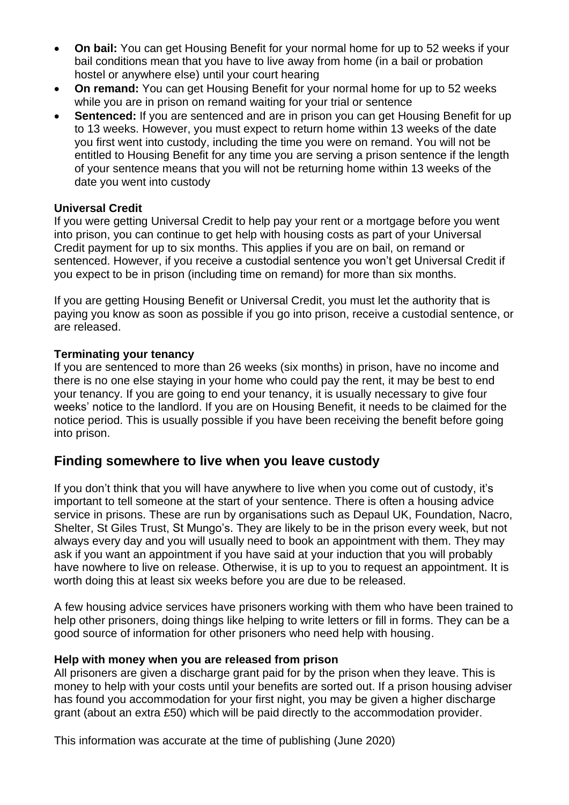- **On bail:** You can get Housing Benefit for your normal home for up to 52 weeks if your bail conditions mean that you have to live away from home (in a bail or probation hostel or anywhere else) until your court hearing
- **On remand:** You can get Housing Benefit for your normal home for up to 52 weeks while you are in prison on remand waiting for your trial or sentence
- **Sentenced:** If you are sentenced and are in prison you can get Housing Benefit for up to 13 weeks. However, you must expect to return home within 13 weeks of the date you first went into custody, including the time you were on remand. You will not be entitled to Housing Benefit for any time you are serving a prison sentence if the length of your sentence means that you will not be returning home within 13 weeks of the date you went into custody

## **Universal Credit**

If you were getting Universal Credit to help pay your rent or a mortgage before you went into prison, you can continue to get help with housing costs as part of your Universal Credit payment for up to six months. This applies if you are on bail, on remand or sentenced. However, if you receive a custodial sentence you won't get Universal Credit if you expect to be in prison (including time on remand) for more than six months.

If you are getting Housing Benefit or Universal Credit, you must let the authority that is paying you know as soon as possible if you go into prison, receive a custodial sentence, or are released.

#### **Terminating your tenancy**

If you are sentenced to more than 26 weeks (six months) in prison, have no income and there is no one else staying in your home who could pay the rent, it may be best to end your tenancy. If you are going to end your tenancy, it is usually necessary to give four weeks' notice to the landlord. If you are on Housing Benefit, it needs to be claimed for the notice period. This is usually possible if you have been receiving the benefit before going into prison.

# **Finding somewhere to live when you leave custody**

If you don't think that you will have anywhere to live when you come out of custody, it's important to tell someone at the start of your sentence. There is often a housing advice service in prisons. These are run by organisations such as Depaul UK, Foundation, Nacro, Shelter, St Giles Trust, St Mungo's. They are likely to be in the prison every week, but not always every day and you will usually need to book an appointment with them. They may ask if you want an appointment if you have said at your induction that you will probably have nowhere to live on release. Otherwise, it is up to you to request an appointment. It is worth doing this at least six weeks before you are due to be released.

A few housing advice services have prisoners working with them who have been trained to help other prisoners, doing things like helping to write letters or fill in forms. They can be a good source of information for other prisoners who need help with housing.

#### **Help with money when you are released from prison**

All prisoners are given a discharge grant paid for by the prison when they leave. This is money to help with your costs until your benefits are sorted out. If a prison housing adviser has found you accommodation for your first night, you may be given a higher discharge grant (about an extra £50) which will be paid directly to the accommodation provider.

This information was accurate at the time of publishing (June 2020)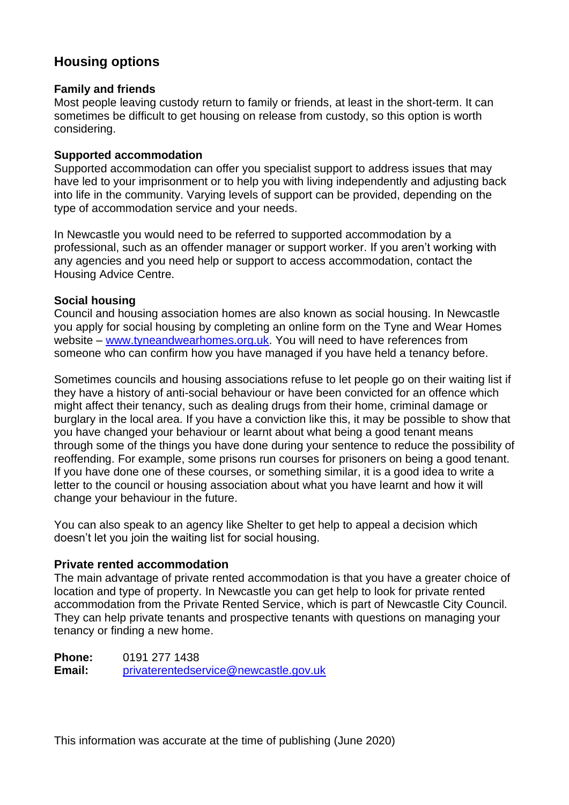# **Housing options**

### **Family and friends**

Most people leaving custody return to family or friends, at least in the short-term. It can sometimes be difficult to get housing on release from custody, so this option is worth considering.

### **Supported accommodation**

Supported accommodation can offer you specialist support to address issues that may have led to your imprisonment or to help you with living independently and adjusting back into life in the community. Varying levels of support can be provided, depending on the type of accommodation service and your needs.

In Newcastle you would need to be referred to supported accommodation by a professional, such as an offender manager or support worker. If you aren't working with any agencies and you need help or support to access accommodation, contact the Housing Advice Centre.

## **Social housing**

Council and housing association homes are also known as social housing. In Newcastle you apply for social housing by completing an online form on the Tyne and Wear Homes website – [www.tyneandwearhomes.org.uk.](http://www.tyneandwearhomes.org.uk/) You will need to have references from someone who can confirm how you have managed if you have held a tenancy before.

Sometimes councils and housing associations refuse to let people go on their waiting list if they have a history of anti-social behaviour or have been convicted for an offence which might affect their tenancy, such as dealing drugs from their home, criminal damage or burglary in the local area. If you have a conviction like this, it may be possible to show that you have changed your behaviour or learnt about what being a good tenant means through some of the things you have done during your sentence to reduce the possibility of reoffending. For example, some prisons run courses for prisoners on being a good tenant. If you have done one of these courses, or something similar, it is a good idea to write a letter to the council or housing association about what you have learnt and how it will change your behaviour in the future.

You can also speak to an agency like Shelter to get help to appeal a decision which doesn't let you join the waiting list for social housing.

#### **Private rented accommodation**

The main advantage of private rented accommodation is that you have a greater choice of location and type of property. In Newcastle you can get help to look for private rented accommodation from the Private Rented Service, which is part of Newcastle City Council. They can help private tenants and prospective tenants with questions on managing your tenancy or finding a new home.

**Phone:** 0191 277 1438 **Email:** [privaterentedservice@newcastle.gov.uk](mailto:privaterentedservice@newcastle.gov.uk)

This information was accurate at the time of publishing (June 2020)